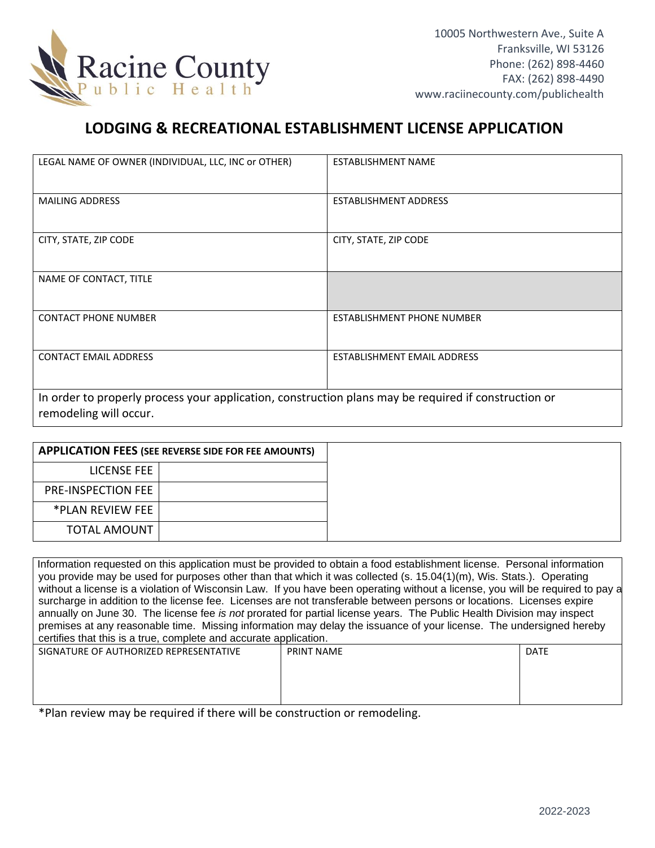

## **LODGING & RECREATIONAL ESTABLISHMENT LICENSE APPLICATION**

| LEGAL NAME OF OWNER (INDIVIDUAL, LLC, INC or OTHER)                                                                            | <b>ESTABLISHMENT NAME</b>         |  |  |
|--------------------------------------------------------------------------------------------------------------------------------|-----------------------------------|--|--|
| <b>MAILING ADDRESS</b>                                                                                                         | ESTABLISHMENT ADDRESS             |  |  |
| CITY, STATE, ZIP CODE                                                                                                          | CITY, STATE, ZIP CODE             |  |  |
| NAME OF CONTACT, TITLE                                                                                                         |                                   |  |  |
| <b>CONTACT PHONE NUMBER</b>                                                                                                    | <b>ESTABLISHMENT PHONE NUMBER</b> |  |  |
| <b>CONTACT EMAIL ADDRESS</b>                                                                                                   | ESTABLISHMENT EMAIL ADDRESS       |  |  |
| In order to properly process your application, construction plans may be required if construction or<br>remodeling will occur. |                                   |  |  |

|                           | <b>APPLICATION FEES (SEE REVERSE SIDE FOR FEE AMOUNTS)</b> |
|---------------------------|------------------------------------------------------------|
| LICENSE FEE               |                                                            |
| <b>PRE-INSPECTION FEE</b> |                                                            |
| *PLAN REVIEW FEE          |                                                            |
| <b>TOTAL AMOUNT</b>       |                                                            |

Information requested on this application must be provided to obtain a food establishment license. Personal information you provide may be used for purposes other than that which it was collected (s. 15.04(1)(m), Wis. Stats.). Operating without a license is a violation of Wisconsin Law. If you have been operating without a license, you will be required to pay a surcharge in addition to the license fee. Licenses are not transferable between persons or locations. Licenses expire annually on June 30. The license fee *is not* prorated for partial license years. The Public Health Division may inspect premises at any reasonable time. Missing information may delay the issuance of your license. The undersigned hereby certifies that this is a true, complete and accurate application.

| SIGNATURE OF AUTHORIZED REPRESENTATIVE | <b>PRINT NAME</b> | <b>DATE</b> |
|----------------------------------------|-------------------|-------------|
|                                        |                   |             |
|                                        |                   |             |
|                                        |                   |             |

\*Plan review may be required if there will be construction or remodeling.